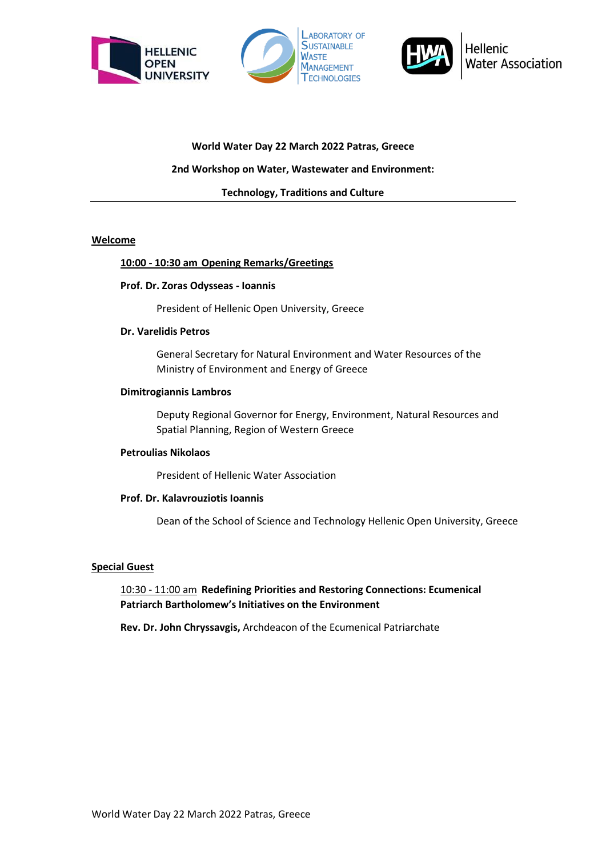





# **World Water Day 22 March 2022 Patras, Greece**

## **2nd Workshop on Water, Wastewater and Environment:**

**Technology, Traditions and Culture**

## **Welcome**

## **10:00 - 10:30 am Opening Remarks/Greetings**

#### **Prof. Dr. Zoras Odysseas - Ioannis**

President of Hellenic Open University, Greece

#### **Dr. Varelidis Petros**

General Secretary for Natural Environment and Water Resources of the Ministry of Environment and Energy of Greece

#### **Dimitrogiannis Lambros**

Deputy Regional Governor for Energy, Environment, Natural Resources and Spatial Planning, Region of Western Greece

## **Petroulias Nikolaos**

President of Hellenic Water Association

#### **Prof. Dr. Kalavrouziotis Ioannis**

Dean of the School of Science and Technology Hellenic Open University, Greece

## **Special Guest**

## 10:30 - 11:00 am **Redefining Priorities and Restoring Connections: Ecumenical Patriarch Bartholomew's Initiatives on the Environment**

**Rev. Dr. John Chryssavgis,** Archdeacon of the Ecumenical Patriarchate